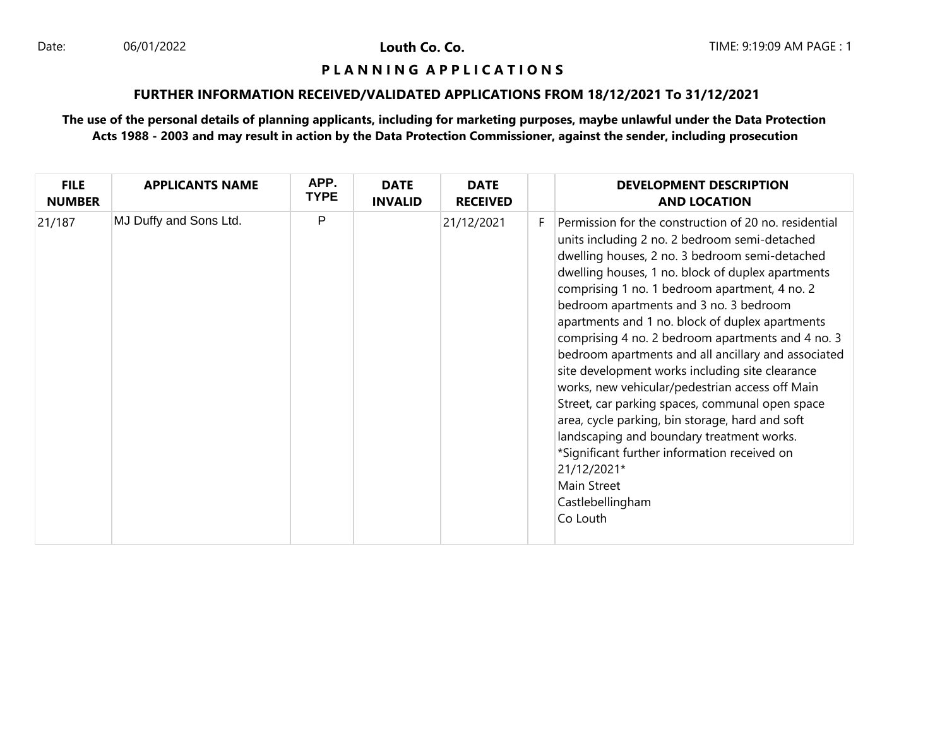#### **P L A N N I N G A P P L I C A T I O N S**

## **FURTHER INFORMATION RECEIVED/VALIDATED APPLICATIONS FROM 18/12/2021 To 31/12/2021**

| <b>FILE</b><br><b>NUMBER</b> | <b>APPLICANTS NAME</b> | APP.<br><b>TYPE</b> | <b>DATE</b><br><b>INVALID</b> | <b>DATE</b><br><b>RECEIVED</b> |    | <b>DEVELOPMENT DESCRIPTION</b><br><b>AND LOCATION</b>                                                                                                                                                                                                                                                                                                                                                                                                                                                                                                                                                                                                                                                                                                                                                                                          |
|------------------------------|------------------------|---------------------|-------------------------------|--------------------------------|----|------------------------------------------------------------------------------------------------------------------------------------------------------------------------------------------------------------------------------------------------------------------------------------------------------------------------------------------------------------------------------------------------------------------------------------------------------------------------------------------------------------------------------------------------------------------------------------------------------------------------------------------------------------------------------------------------------------------------------------------------------------------------------------------------------------------------------------------------|
| 21/187                       | MJ Duffy and Sons Ltd. | P                   |                               | 21/12/2021                     | F. | Permission for the construction of 20 no. residential<br>units including 2 no. 2 bedroom semi-detached<br>dwelling houses, 2 no. 3 bedroom semi-detached<br>dwelling houses, 1 no. block of duplex apartments<br>comprising 1 no. 1 bedroom apartment, 4 no. 2<br>bedroom apartments and 3 no. 3 bedroom<br>apartments and 1 no. block of duplex apartments<br>comprising 4 no. 2 bedroom apartments and 4 no. 3<br>bedroom apartments and all ancillary and associated<br>site development works including site clearance<br>works, new vehicular/pedestrian access off Main<br>Street, car parking spaces, communal open space<br>area, cycle parking, bin storage, hard and soft<br>landscaping and boundary treatment works.<br>*Significant further information received on<br>21/12/2021*<br>Main Street<br>Castlebellingham<br>Co Louth |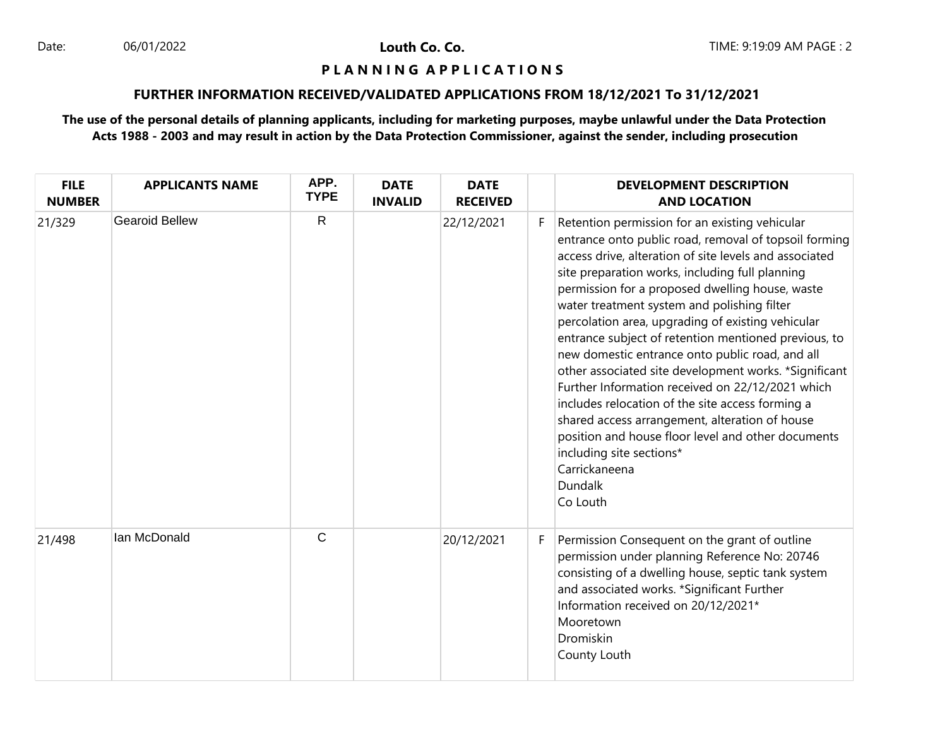### **P L A N N I N G A P P L I C A T I O N S**

# **FURTHER INFORMATION RECEIVED/VALIDATED APPLICATIONS FROM 18/12/2021 To 31/12/2021**

| <b>FILE</b><br><b>NUMBER</b> | <b>APPLICANTS NAME</b> | APP.<br><b>TYPE</b> | <b>DATE</b><br><b>INVALID</b> | <b>DATE</b><br><b>RECEIVED</b> |    | <b>DEVELOPMENT DESCRIPTION</b><br><b>AND LOCATION</b>                                                                                                                                                                                                                                                                                                                                                                                                                                                                                                                                                                                                                                                                                                                                                                               |
|------------------------------|------------------------|---------------------|-------------------------------|--------------------------------|----|-------------------------------------------------------------------------------------------------------------------------------------------------------------------------------------------------------------------------------------------------------------------------------------------------------------------------------------------------------------------------------------------------------------------------------------------------------------------------------------------------------------------------------------------------------------------------------------------------------------------------------------------------------------------------------------------------------------------------------------------------------------------------------------------------------------------------------------|
| 21/329                       | <b>Gearoid Bellew</b>  | $\mathsf{R}$        |                               | 22/12/2021                     | F. | Retention permission for an existing vehicular<br>entrance onto public road, removal of topsoil forming<br>access drive, alteration of site levels and associated<br>site preparation works, including full planning<br>permission for a proposed dwelling house, waste<br>water treatment system and polishing filter<br>percolation area, upgrading of existing vehicular<br>entrance subject of retention mentioned previous, to<br>new domestic entrance onto public road, and all<br>other associated site development works. *Significant<br>Further Information received on 22/12/2021 which<br>includes relocation of the site access forming a<br>shared access arrangement, alteration of house<br>position and house floor level and other documents<br>including site sections*<br>Carrickaneena<br>Dundalk<br>Co Louth |
| 21/498                       | Ian McDonald           | $\mathsf{C}$        |                               | 20/12/2021                     | F. | Permission Consequent on the grant of outline<br>permission under planning Reference No: 20746<br>consisting of a dwelling house, septic tank system<br>and associated works. *Significant Further<br>Information received on 20/12/2021*<br>Mooretown<br>Dromiskin<br>County Louth                                                                                                                                                                                                                                                                                                                                                                                                                                                                                                                                                 |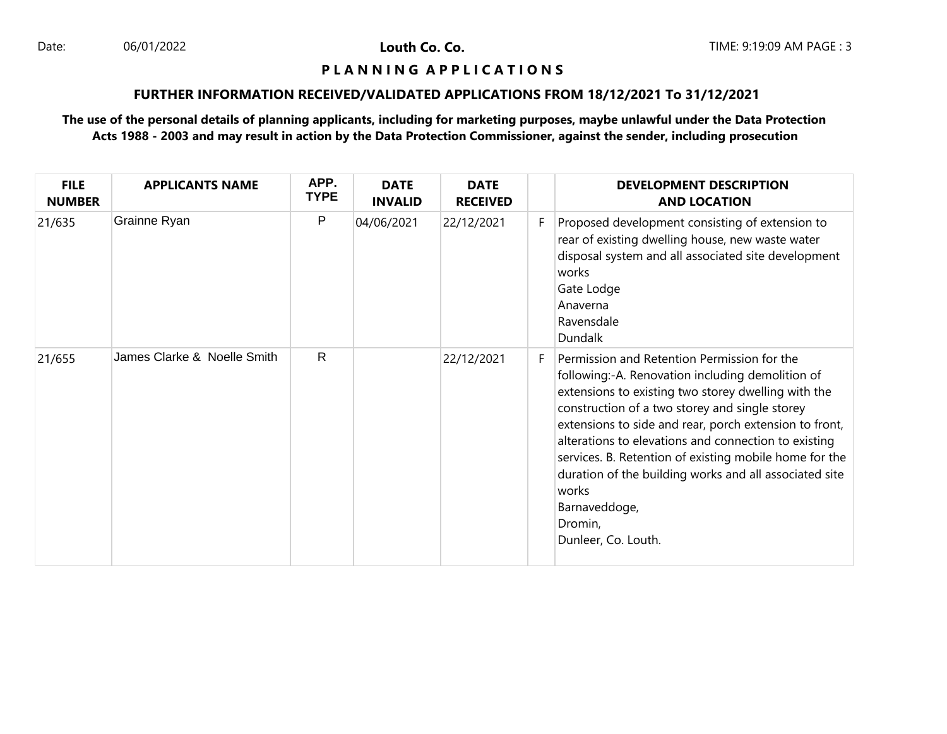#### **P L A N N I N G A P P L I C A T I O N S**

### **FURTHER INFORMATION RECEIVED/VALIDATED APPLICATIONS FROM 18/12/2021 To 31/12/2021**

| <b>FILE</b><br><b>NUMBER</b> | <b>APPLICANTS NAME</b>      | APP.<br><b>TYPE</b> | <b>DATE</b><br><b>INVALID</b> | <b>DATE</b><br><b>RECEIVED</b> |    | <b>DEVELOPMENT DESCRIPTION</b><br><b>AND LOCATION</b>                                                                                                                                                                                                                                                                                                                                                                                                                                                      |
|------------------------------|-----------------------------|---------------------|-------------------------------|--------------------------------|----|------------------------------------------------------------------------------------------------------------------------------------------------------------------------------------------------------------------------------------------------------------------------------------------------------------------------------------------------------------------------------------------------------------------------------------------------------------------------------------------------------------|
| 21/635                       | Grainne Ryan                | P                   | 04/06/2021                    | 22/12/2021                     | F. | Proposed development consisting of extension to<br>rear of existing dwelling house, new waste water<br>disposal system and all associated site development<br>works<br>Gate Lodge<br>Anaverna<br>Ravensdale<br><b>Dundalk</b>                                                                                                                                                                                                                                                                              |
| 21/655                       | James Clarke & Noelle Smith | R.                  |                               | 22/12/2021                     | F. | Permission and Retention Permission for the<br>following:-A. Renovation including demolition of<br>extensions to existing two storey dwelling with the<br>construction of a two storey and single storey<br>extensions to side and rear, porch extension to front,<br>alterations to elevations and connection to existing<br>services. B. Retention of existing mobile home for the<br>duration of the building works and all associated site<br>works<br>Barnaveddoge,<br>Dromin,<br>Dunleer, Co. Louth. |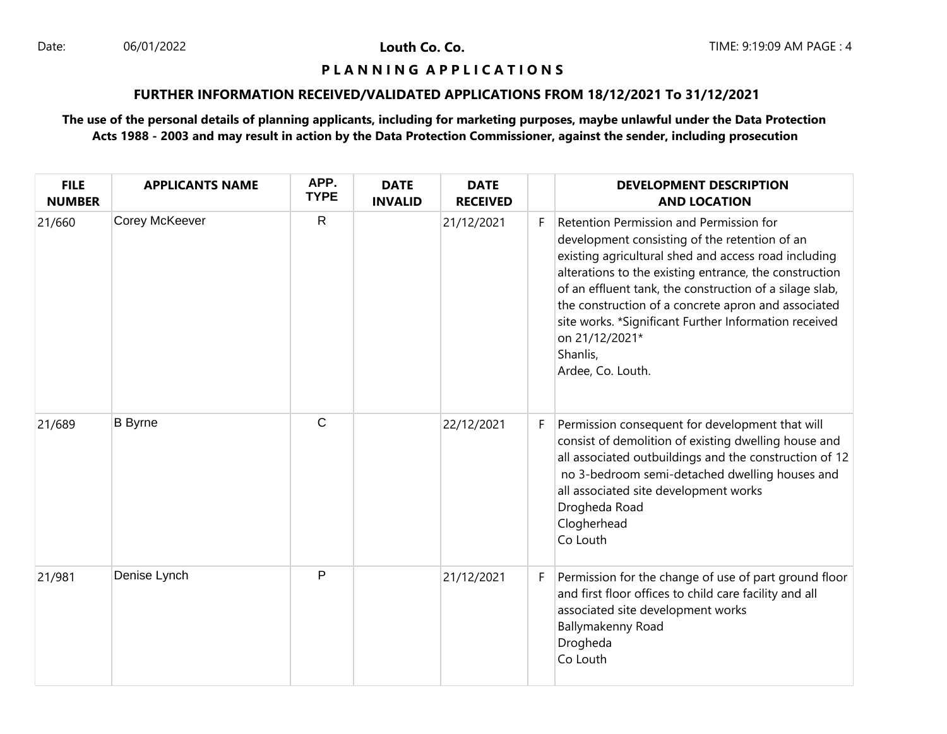### **P L A N N I N G A P P L I C A T I O N S**

## **FURTHER INFORMATION RECEIVED/VALIDATED APPLICATIONS FROM 18/12/2021 To 31/12/2021**

| <b>FILE</b><br><b>NUMBER</b> | <b>APPLICANTS NAME</b> | APP.<br><b>TYPE</b> | <b>DATE</b><br><b>INVALID</b> | <b>DATE</b><br><b>RECEIVED</b> |    | <b>DEVELOPMENT DESCRIPTION</b><br><b>AND LOCATION</b>                                                                                                                                                                                                                                                                                                                                                                                    |
|------------------------------|------------------------|---------------------|-------------------------------|--------------------------------|----|------------------------------------------------------------------------------------------------------------------------------------------------------------------------------------------------------------------------------------------------------------------------------------------------------------------------------------------------------------------------------------------------------------------------------------------|
| 21/660                       | Corey McKeever         | $\mathsf{R}$        |                               | 21/12/2021                     | F. | Retention Permission and Permission for<br>development consisting of the retention of an<br>existing agricultural shed and access road including<br>alterations to the existing entrance, the construction<br>of an effluent tank, the construction of a silage slab,<br>the construction of a concrete apron and associated<br>site works. *Significant Further Information received<br>on 21/12/2021*<br>Shanlis,<br>Ardee, Co. Louth. |
| 21/689                       | <b>B</b> Byrne         | $\mathsf{C}$        |                               | 22/12/2021                     | F. | Permission consequent for development that will<br>consist of demolition of existing dwelling house and<br>all associated outbuildings and the construction of 12<br>no 3-bedroom semi-detached dwelling houses and<br>all associated site development works<br>Drogheda Road<br>Clogherhead<br>Co Louth                                                                                                                                 |
| 21/981                       | Denise Lynch           | $\mathsf{P}$        |                               | 21/12/2021                     | F  | Permission for the change of use of part ground floor<br>and first floor offices to child care facility and all<br>associated site development works<br>Ballymakenny Road<br>Drogheda<br>Co Louth                                                                                                                                                                                                                                        |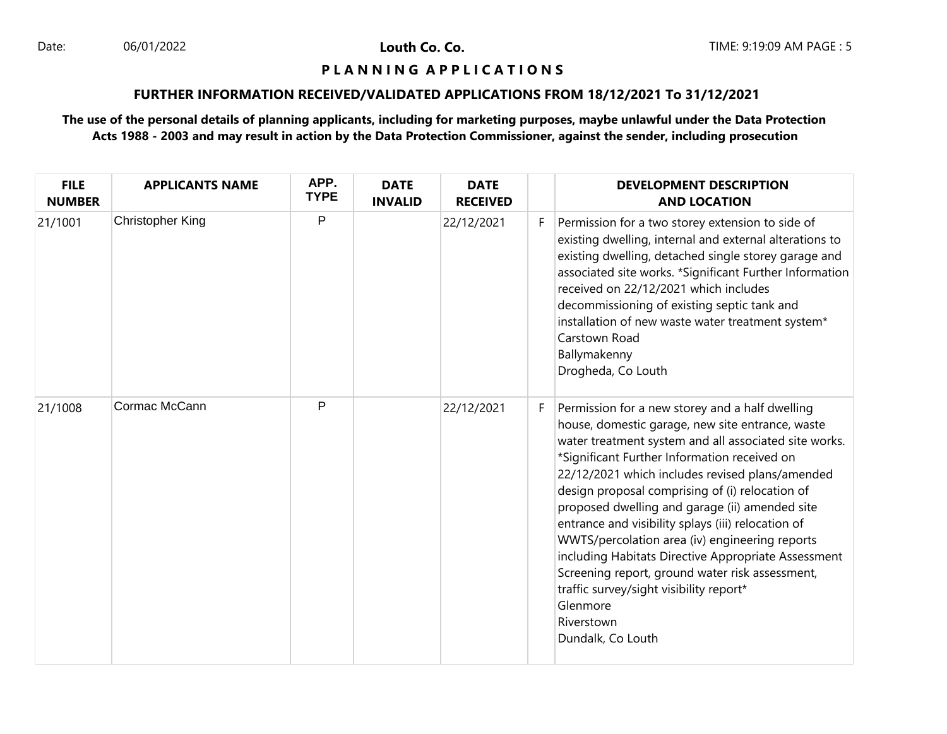#### **P L A N N I N G A P P L I C A T I O N S**

## **FURTHER INFORMATION RECEIVED/VALIDATED APPLICATIONS FROM 18/12/2021 To 31/12/2021**

| <b>FILE</b><br><b>NUMBER</b> | <b>APPLICANTS NAME</b>  | APP.<br><b>TYPE</b> | <b>DATE</b><br><b>INVALID</b> | <b>DATE</b><br><b>RECEIVED</b> |    | <b>DEVELOPMENT DESCRIPTION</b><br><b>AND LOCATION</b>                                                                                                                                                                                                                                                                                                                                                                                                                                                                                                                                                                                                                            |
|------------------------------|-------------------------|---------------------|-------------------------------|--------------------------------|----|----------------------------------------------------------------------------------------------------------------------------------------------------------------------------------------------------------------------------------------------------------------------------------------------------------------------------------------------------------------------------------------------------------------------------------------------------------------------------------------------------------------------------------------------------------------------------------------------------------------------------------------------------------------------------------|
| 21/1001                      | <b>Christopher King</b> | P                   |                               | 22/12/2021                     | F. | Permission for a two storey extension to side of<br>existing dwelling, internal and external alterations to<br>existing dwelling, detached single storey garage and<br>associated site works. *Significant Further Information<br>received on 22/12/2021 which includes<br>decommissioning of existing septic tank and<br>installation of new waste water treatment system*<br>Carstown Road<br>Ballymakenny<br>Drogheda, Co Louth                                                                                                                                                                                                                                               |
| 21/1008                      | Cormac McCann           | P                   |                               | 22/12/2021                     | F. | Permission for a new storey and a half dwelling<br>house, domestic garage, new site entrance, waste<br>water treatment system and all associated site works.<br>*Significant Further Information received on<br>22/12/2021 which includes revised plans/amended<br>design proposal comprising of (i) relocation of<br>proposed dwelling and garage (ii) amended site<br>entrance and visibility splays (iii) relocation of<br>WWTS/percolation area (iv) engineering reports<br>including Habitats Directive Appropriate Assessment<br>Screening report, ground water risk assessment,<br>traffic survey/sight visibility report*<br>Glenmore<br>Riverstown<br>Dundalk, Co Louth |